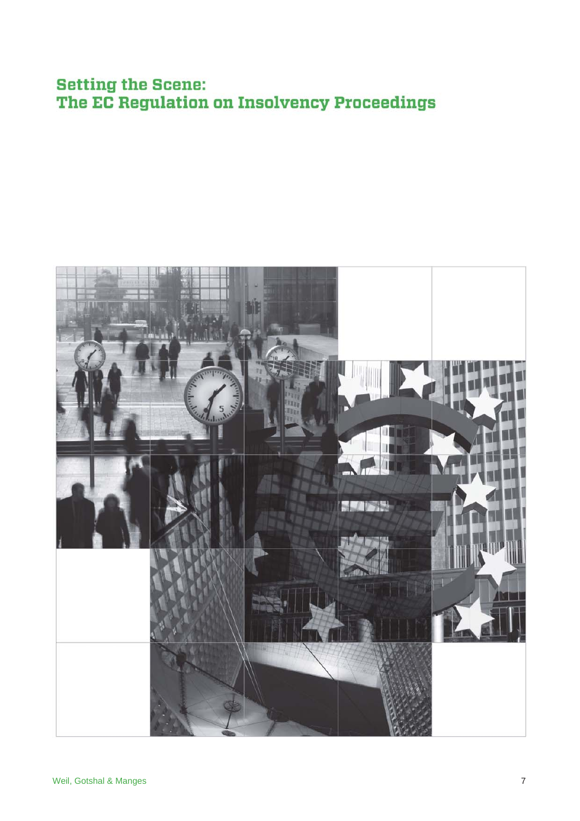# **Setting the Scene:** The EC Regulation on Insolvency Proceedings

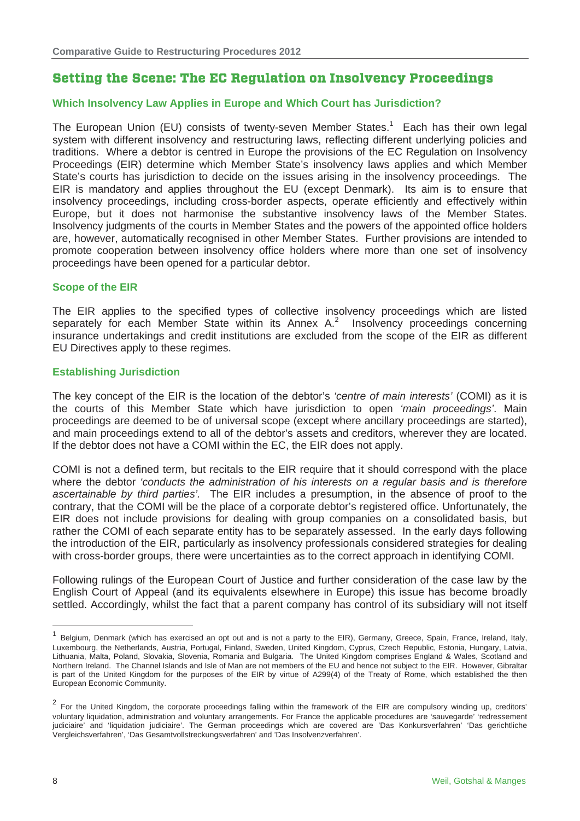# **Setting the Scene: The EC Regulation on Insolvency Proceedings**

## **Which Insolvency Law Applies in Europe and Which Court has Jurisdiction?**

The European Union (EU) consists of twenty-seven Member States.<sup>1</sup> Each has their own legal system with different insolvency and restructuring laws, reflecting different underlying policies and traditions. Where a debtor is centred in Europe the provisions of the EC Regulation on Insolvency Proceedings (EIR) determine which Member State's insolvency laws applies and which Member State's courts has jurisdiction to decide on the issues arising in the insolvency proceedings. The EIR is mandatory and applies throughout the EU (except Denmark). Its aim is to ensure that insolvency proceedings, including cross-border aspects, operate efficiently and effectively within Europe, but it does not harmonise the substantive insolvency laws of the Member States. Insolvency judgments of the courts in Member States and the powers of the appointed office holders are, however, automatically recognised in other Member States. Further provisions are intended to promote cooperation between insolvency office holders where more than one set of insolvency proceedings have been opened for a particular debtor.

#### **Scope of the EIR**

The EIR applies to the specified types of collective insolvency proceedings which are listed separately for each Member State within its Annex  $A<sup>2</sup>$  Insolvency proceedings concerning insurance undertakings and credit institutions are excluded from the scope of the EIR as different EU Directives apply to these regimes.

#### **Establishing Jurisdiction**

The key concept of the EIR is the location of the debtor's *'centre of main interests'* (COMI) as it is the courts of this Member State which have jurisdiction to open *'main proceedings'*. Main proceedings are deemed to be of universal scope (except where ancillary proceedings are started), and main proceedings extend to all of the debtor's assets and creditors, wherever they are located. If the debtor does not have a COMI within the EC, the EIR does not apply.

COMI is not a defined term, but recitals to the EIR require that it should correspond with the place where the debtor *'conducts the administration of his interests on a regular basis and is therefore ascertainable by third parties'.* The EIR includes a presumption, in the absence of proof to the contrary, that the COMI will be the place of a corporate debtor's registered office. Unfortunately, the EIR does not include provisions for dealing with group companies on a consolidated basis, but rather the COMI of each separate entity has to be separately assessed. In the early days following the introduction of the EIR, particularly as insolvency professionals considered strategies for dealing with cross-border groups, there were uncertainties as to the correct approach in identifying COMI.

Following rulings of the European Court of Justice and further consideration of the case law by the English Court of Appeal (and its equivalents elsewhere in Europe) this issue has become broadly settled. Accordingly, whilst the fact that a parent company has control of its subsidiary will not itself

-

<sup>1</sup> Belgium, Denmark (which has exercised an opt out and is not a party to the EIR), Germany, Greece, Spain, France, Ireland, Italy, Luxembourg, the Netherlands, Austria, Portugal, Finland, Sweden, United Kingdom, Cyprus, Czech Republic, Estonia, Hungary, Latvia, Lithuania, Malta, Poland, Slovakia, Slovenia, Romania and Bulgaria. The United Kingdom comprises England & Wales, Scotland and Northern Ireland. The Channel Islands and Isle of Man are not members of the EU and hence not subject to the EIR. However, Gibraltar is part of the United Kingdom for the purposes of the EIR by virtue of A299(4) of the Treaty of Rome, which established the then European Economic Community.

<sup>&</sup>lt;sup>2</sup> For the United Kingdom, the corporate proceedings falling within the framework of the EIR are compulsory winding up, creditors' voluntary liquidation, administration and voluntary arrangements. For France the applicable procedures are 'sauvegarde' 'redressement judiciaire' and 'liquidation judiciaire'. The German proceedings which are covered are 'Das Konkursverfahren' 'Das gerichtliche Vergleichsverfahren', 'Das Gesamtvollstreckungsverfahren' and 'Das Insolvenzverfahren'.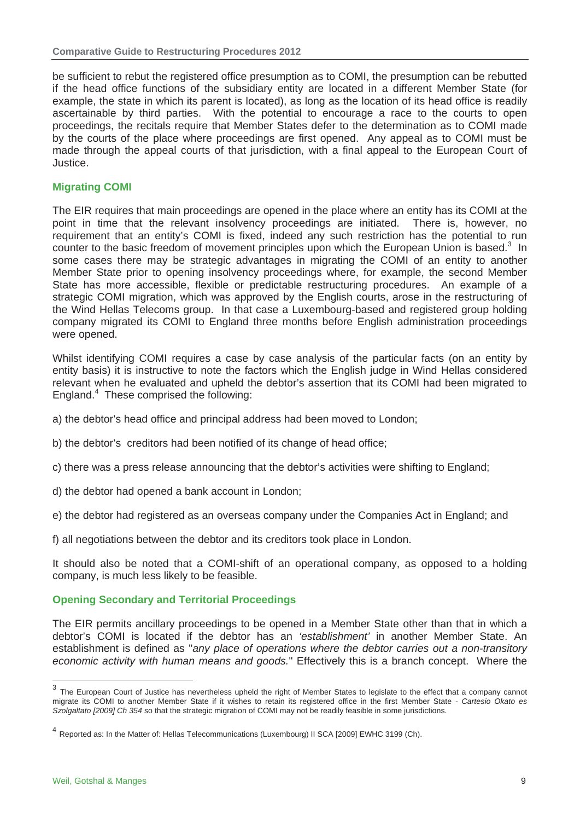be sufficient to rebut the registered office presumption as to COMI, the presumption can be rebutted if the head office functions of the subsidiary entity are located in a different Member State (for example, the state in which its parent is located), as long as the location of its head office is readily ascertainable by third parties. With the potential to encourage a race to the courts to open proceedings, the recitals require that Member States defer to the determination as to COMI made by the courts of the place where proceedings are first opened. Any appeal as to COMI must be made through the appeal courts of that jurisdiction, with a final appeal to the European Court of Justice.

## **Migrating COMI**

The EIR requires that main proceedings are opened in the place where an entity has its COMI at the point in time that the relevant insolvency proceedings are initiated. There is, however, no requirement that an entity's COMI is fixed, indeed any such restriction has the potential to run counter to the basic freedom of movement principles upon which the European Union is based. $3$  In some cases there may be strategic advantages in migrating the COMI of an entity to another Member State prior to opening insolvency proceedings where, for example, the second Member State has more accessible, flexible or predictable restructuring procedures. An example of a strategic COMI migration, which was approved by the English courts, arose in the restructuring of the Wind Hellas Telecoms group. In that case a Luxembourg-based and registered group holding company migrated its COMI to England three months before English administration proceedings were opened.

Whilst identifying COMI requires a case by case analysis of the particular facts (on an entity by entity basis) it is instructive to note the factors which the English judge in Wind Hellas considered relevant when he evaluated and upheld the debtor's assertion that its COMI had been migrated to England.<sup>4</sup> These comprised the following:

- a) the debtor's head office and principal address had been moved to London;
- b) the debtor's creditors had been notified of its change of head office;
- c) there was a press release announcing that the debtor's activities were shifting to England;
- d) the debtor had opened a bank account in London;
- e) the debtor had registered as an overseas company under the Companies Act in England; and
- f) all negotiations between the debtor and its creditors took place in London.

It should also be noted that a COMI-shift of an operational company, as opposed to a holding company, is much less likely to be feasible.

#### **Opening Secondary and Territorial Proceedings**

The EIR permits ancillary proceedings to be opened in a Member State other than that in which a debtor's COMI is located if the debtor has an *'establishment'* in another Member State. An establishment is defined as "*any place of operations where the debtor carries out a non-transitory economic activity with human means and goods.*" Effectively this is a branch concept. Where the

-

 $3$  The European Court of Justice has nevertheless upheld the right of Member States to legislate to the effect that a company cannot migrate its COMI to another Member State if it wishes to retain its registered office in the first Member State - *Cartesio Okato es Szolgaltato [2009] Ch 354* so that the strategic migration of COMI may not be readily feasible in some jurisdictions.

<sup>4</sup> Reported as: In the Matter of: Hellas Telecommunications (Luxembourg) II SCA [2009] EWHC 3199 (Ch).